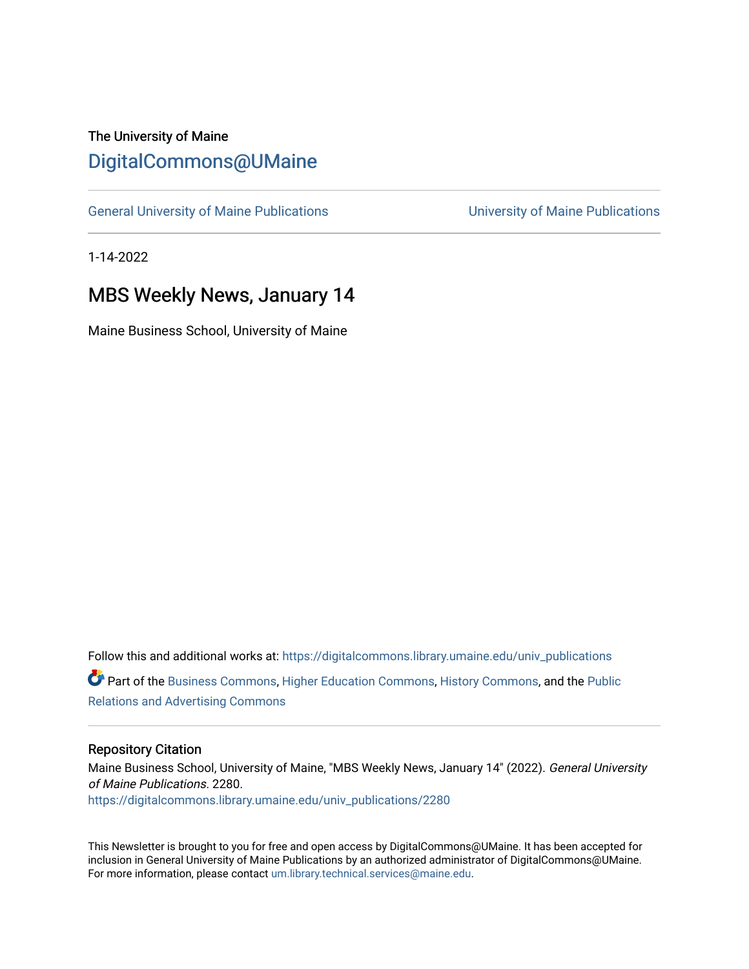#### The University of Maine [DigitalCommons@UMaine](https://digitalcommons.library.umaine.edu/)

[General University of Maine Publications](https://digitalcommons.library.umaine.edu/univ_publications) [University of Maine Publications](https://digitalcommons.library.umaine.edu/umaine_publications) 

1-14-2022

#### MBS Weekly News, January 14

Maine Business School, University of Maine

Follow this and additional works at: [https://digitalcommons.library.umaine.edu/univ\\_publications](https://digitalcommons.library.umaine.edu/univ_publications?utm_source=digitalcommons.library.umaine.edu%2Funiv_publications%2F2280&utm_medium=PDF&utm_campaign=PDFCoverPages)  Part of the [Business Commons](http://network.bepress.com/hgg/discipline/622?utm_source=digitalcommons.library.umaine.edu%2Funiv_publications%2F2280&utm_medium=PDF&utm_campaign=PDFCoverPages), [Higher Education Commons](http://network.bepress.com/hgg/discipline/1245?utm_source=digitalcommons.library.umaine.edu%2Funiv_publications%2F2280&utm_medium=PDF&utm_campaign=PDFCoverPages), [History Commons](http://network.bepress.com/hgg/discipline/489?utm_source=digitalcommons.library.umaine.edu%2Funiv_publications%2F2280&utm_medium=PDF&utm_campaign=PDFCoverPages), and the [Public](http://network.bepress.com/hgg/discipline/336?utm_source=digitalcommons.library.umaine.edu%2Funiv_publications%2F2280&utm_medium=PDF&utm_campaign=PDFCoverPages)  [Relations and Advertising Commons](http://network.bepress.com/hgg/discipline/336?utm_source=digitalcommons.library.umaine.edu%2Funiv_publications%2F2280&utm_medium=PDF&utm_campaign=PDFCoverPages) 

#### Repository Citation

Maine Business School, University of Maine, "MBS Weekly News, January 14" (2022). General University of Maine Publications. 2280. [https://digitalcommons.library.umaine.edu/univ\\_publications/2280](https://digitalcommons.library.umaine.edu/univ_publications/2280?utm_source=digitalcommons.library.umaine.edu%2Funiv_publications%2F2280&utm_medium=PDF&utm_campaign=PDFCoverPages)

This Newsletter is brought to you for free and open access by DigitalCommons@UMaine. It has been accepted for inclusion in General University of Maine Publications by an authorized administrator of DigitalCommons@UMaine. For more information, please contact [um.library.technical.services@maine.edu](mailto:um.library.technical.services@maine.edu).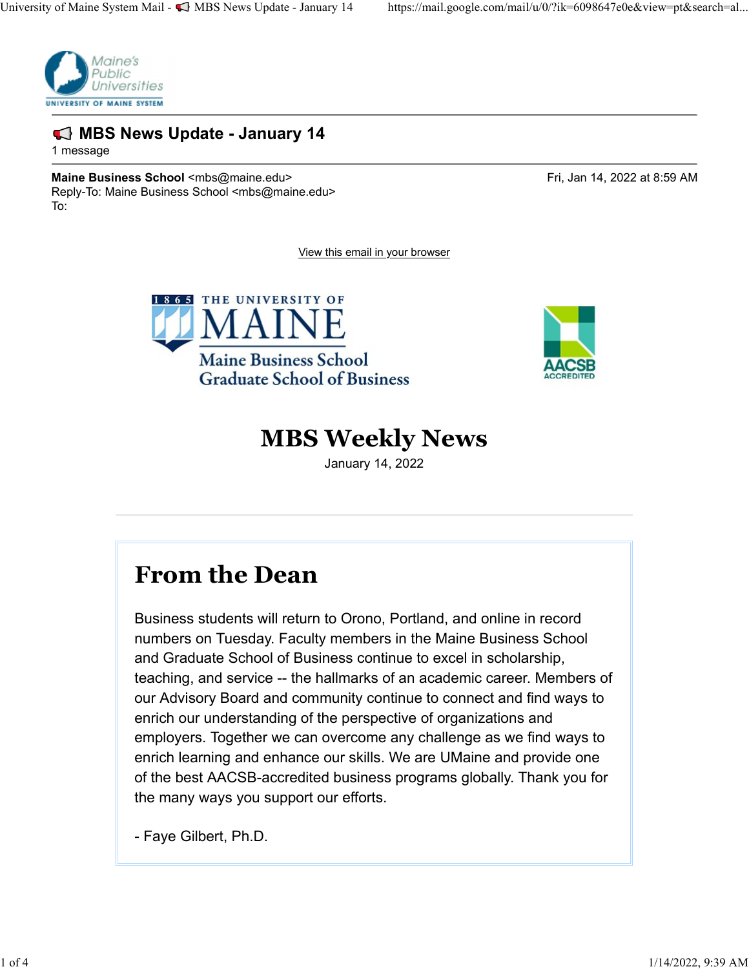

#### ᏑᏒᏓᏔᏕᏖ MBS News Update - January 14

1 message

Maine Business School <mbs@maine.edu> Fri, Jan 14, 2022 at 8:59 AM Reply-To: Maine Business School <mbs@maine.edu> To:

View this email in your browser





### MBS Weekly News

January 14, 2022

## From the Dean

Business students will return to Orono, Portland, and online in record numbers on Tuesday. Faculty members in the Maine Business School and Graduate School of Business continue to excel in scholarship, teaching, and service -- the hallmarks of an academic career. Members of our Advisory Board and community continue to connect and find ways to enrich our understanding of the perspective of organizations and employers. Together we can overcome any challenge as we find ways to enrich learning and enhance our skills. We are UMaine and provide one of the best AACSB-accredited business programs globally. Thank you for the many ways you support our efforts. From the Dean<br>Business students will return to Orono, Portland, and online in r<br>numbers on Tuesday. Faculty members in the Maine Business<br>and Graduate School of Business continue to excel in scholars<br>teaching, and service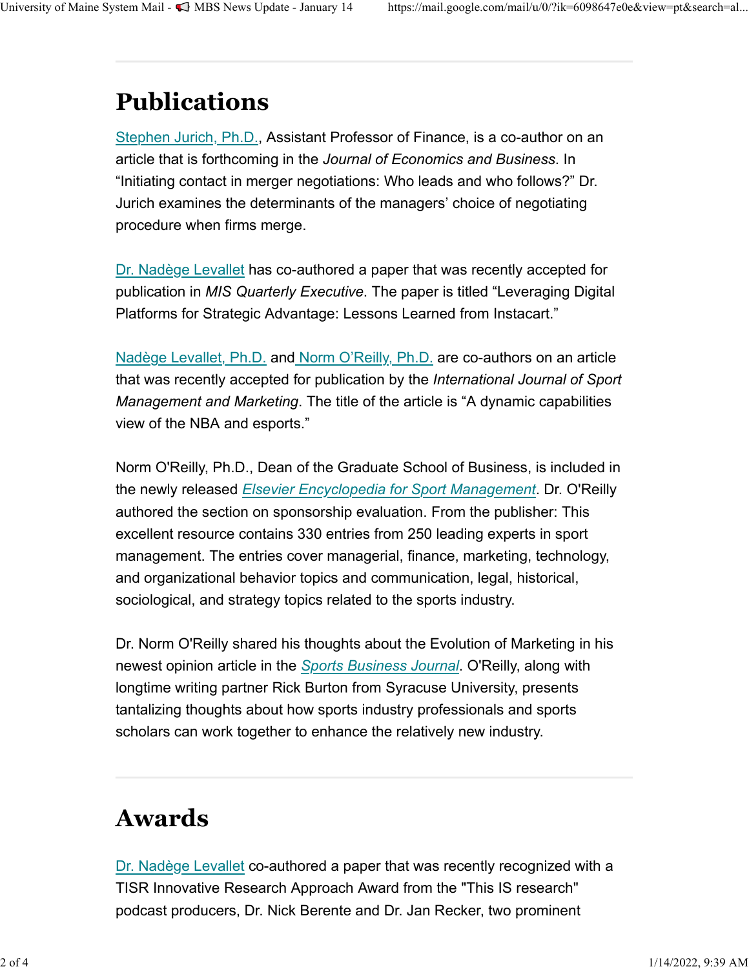# Publications

Stephen Jurich, Ph.D., Assistant Professor of Finance, is a co-author on an article that is forthcoming in the Journal of Economics and Business. In "Initiating contact in merger negotiations: Who leads and who follows?" Dr. Jurich examines the determinants of the managers' choice of negotiating procedure when firms merge.

Dr. Nadège Levallet has co-authored a paper that was recently accepted for publication in MIS Quarterly Executive. The paper is titled "Leveraging Digital Platforms for Strategic Advantage: Lessons Learned from Instacart."

Nadège Levallet, Ph.D. and Norm O'Reilly, Ph.D. are co-authors on an article that was recently accepted for publication by the International Journal of Sport Management and Marketing. The title of the article is "A dynamic capabilities view of the NBA and esports."

Norm O'Reilly, Ph.D., Dean of the Graduate School of Business, is included in the newly released Elsevier Encyclopedia for Sport Management. Dr. O'Reilly authored the section on sponsorship evaluation. From the publisher: This excellent resource contains 330 entries from 250 leading experts in sport management. The entries cover managerial, finance, marketing, technology, and organizational behavior topics and communication, legal, historical, sociological, and strategy topics related to the sports industry.

Dr. Norm O'Reilly shared his thoughts about the Evolution of Marketing in his newest opinion article in the Sports Business Journal. O'Reilly, along with longtime writing partner Rick Burton from Syracuse University, presents tantalizing thoughts about how sports industry professionals and sports scholars can work together to enhance the relatively new industry.

## Awards

Dr. Nadège Levallet co-authored a paper that was recently recognized with a TISR Innovative Research Approach Award from the "This IS research" podcast producers, Dr. Nick Berente and Dr. Jan Recker, two prominent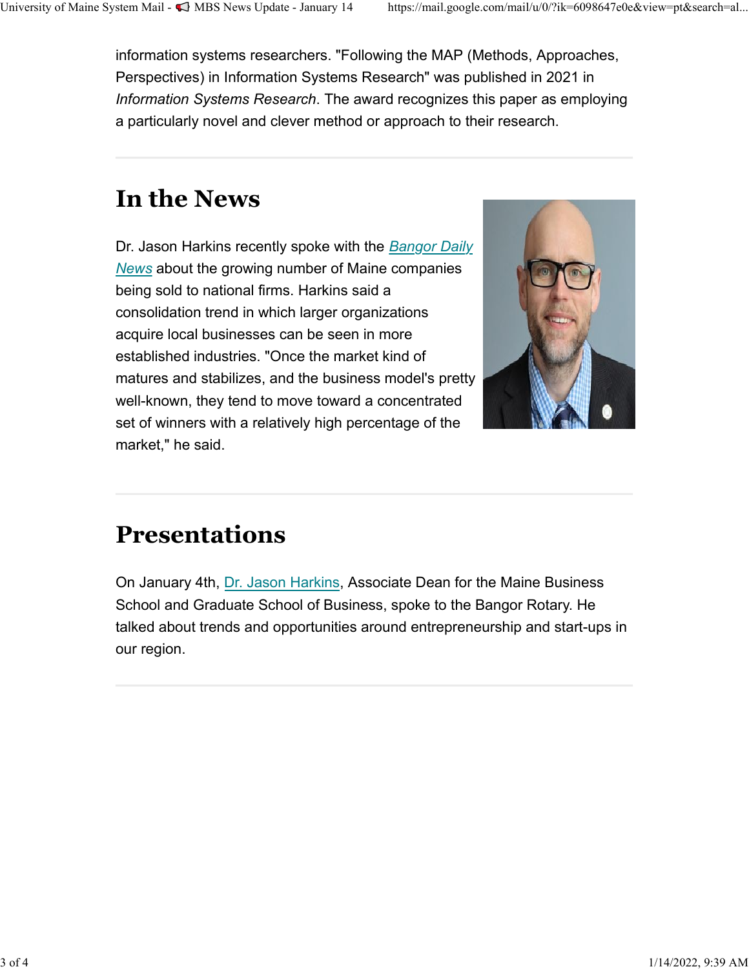information systems researchers. "Following the MAP (Methods, Approaches, Perspectives) in Information Systems Research" was published in 2021 in Information Systems Research. The award recognizes this paper as employing a particularly novel and clever method or approach to their research. University of Maine System Mail - «MBS News Update - January 14 https://mail.google.com/mail/u/0/?ik=6098647e0e&view=pt&search=al...<br>information systems researchers. "Following the MAP (Methods, Approaches,<br>Perspectives) i

# In the News

Dr. Jason Harkins recently spoke with the Bangor Daily News about the growing number of Maine companies being sold to national firms. Harkins said a consolidation trend in which larger organizations acquire local businesses can be seen in more established industries. "Once the market kind of matures and stabilizes, and the business model's pretty well-known, they tend to move toward a concentrated set of winners with a relatively high percentage of the market," he said.



# Presentations

On January 4th, Dr. Jason Harkins, Associate Dean for the Maine Business School and Graduate School of Business, spoke to the Bangor Rotary. He talked about trends and opportunities around entrepreneurship and start-ups in our region.